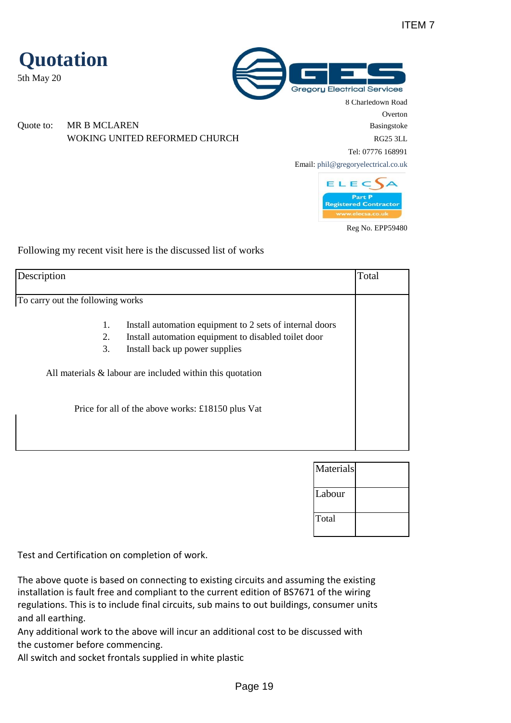

Following my recent visit here is the discussed list of works

**Quotation**

5th May 20

| Description                      |                                                                                                                                                                                                                                                                         | Total |
|----------------------------------|-------------------------------------------------------------------------------------------------------------------------------------------------------------------------------------------------------------------------------------------------------------------------|-------|
| To carry out the following works |                                                                                                                                                                                                                                                                         |       |
| 1.<br>2.<br>3.                   | Install automation equipment to 2 sets of internal doors<br>Install automation equipment to disabled toilet door<br>Install back up power supplies<br>All materials $\&$ labour are included within this quotation<br>Price for all of the above works: £18150 plus Vat |       |

| Materials |  |
|-----------|--|
| Labour    |  |
| Total     |  |

Test and Certification on completion of work.

The above quote is based on connecting to existing circuits and assuming the existing installation is fault free and compliant to the current edition of BS7671 of the wiring regulations. This is to include final circuits, sub mains to out buildings, consumer units and all earthing.

Any additional work to the above will incur an additional cost to be discussed with the customer before commencing.

All switch and socket frontals supplied in white plastic